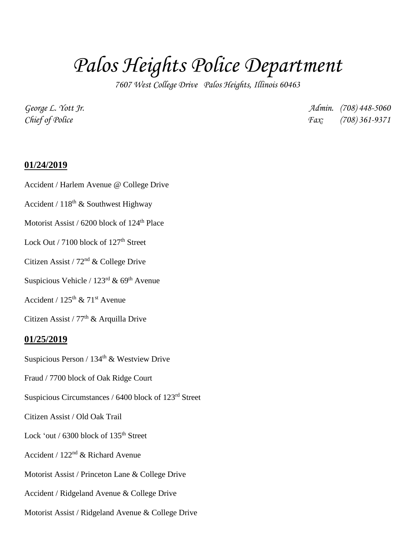# *Palos Heights Police Department*

*7607 West College Drive Palos Heights, Illinois 60463*

*George L. Yott Jr. Admin. (708) 448-5060 Chief of Police Fax: (708) 361-9371*

## **01/24/2019**

- Accident / Harlem Avenue @ College Drive
- Accident /  $118^{th}$  & Southwest Highway
- Motorist Assist / 6200 block of 124<sup>th</sup> Place
- Lock Out / 7100 block of  $127<sup>th</sup>$  Street
- Citizen Assist / 72nd & College Drive
- Suspicious Vehicle /  $123<sup>rd</sup>$  & 69<sup>th</sup> Avenue
- Accident /  $125<sup>th</sup>$  &  $71<sup>st</sup>$  Avenue
- Citizen Assist /  $77<sup>th</sup>$  & Arquilla Drive

## **01/25/2019**

- Suspicious Person / 134<sup>th</sup> & Westview Drive
- Fraud / 7700 block of Oak Ridge Court
- Suspicious Circumstances / 6400 block of 123rd Street
- Citizen Assist / Old Oak Trail
- Lock 'out / 6300 block of 135<sup>th</sup> Street
- Accident / 122nd & Richard Avenue
- Motorist Assist / Princeton Lane & College Drive
- Accident / Ridgeland Avenue & College Drive
- Motorist Assist / Ridgeland Avenue & College Drive